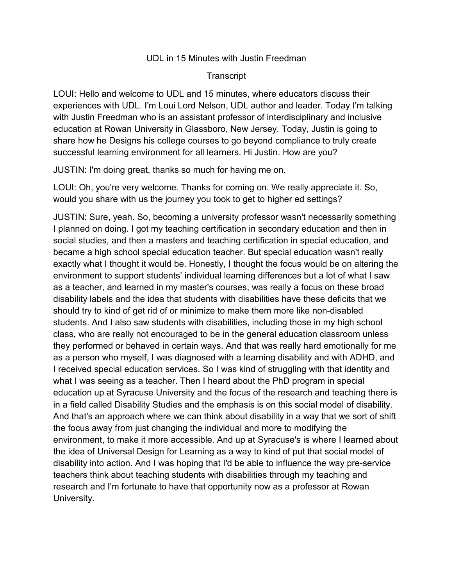## UDL in 15 Minutes with Justin Freedman

## **Transcript**

LOUI: Hello and welcome to UDL and 15 minutes, where educators discuss their experiences with UDL. I'm Loui Lord Nelson, UDL author and leader. Today I'm talking with Justin Freedman who is an assistant professor of interdisciplinary and inclusive education at Rowan University in Glassboro, New Jersey. Today, Justin is going to share how he Designs his college courses to go beyond compliance to truly create successful learning environment for all learners. Hi Justin. How are you?

JUSTIN: I'm doing great, thanks so much for having me on.

LOUI: Oh, you're very welcome. Thanks for coming on. We really appreciate it. So, would you share with us the journey you took to get to higher ed settings?

JUSTIN: Sure, yeah. So, becoming a university professor wasn't necessarily something I planned on doing. I got my teaching certification in secondary education and then in social studies, and then a masters and teaching certification in special education, and became a high school special education teacher. But special education wasn't really exactly what I thought it would be. Honestly, I thought the focus would be on altering the environment to support students' individual learning differences but a lot of what I saw as a teacher, and learned in my master's courses, was really a focus on these broad disability labels and the idea that students with disabilities have these deficits that we should try to kind of get rid of or minimize to make them more like non-disabled students. And I also saw students with disabilities, including those in my high school class, who are really not encouraged to be in the general education classroom unless they performed or behaved in certain ways. And that was really hard emotionally for me as a person who myself, I was diagnosed with a learning disability and with ADHD, and I received special education services. So I was kind of struggling with that identity and what I was seeing as a teacher. Then I heard about the PhD program in special education up at Syracuse University and the focus of the research and teaching there is in a field called Disability Studies and the emphasis is on this social model of disability. And that's an approach where we can think about disability in a way that we sort of shift the focus away from just changing the individual and more to modifying the environment, to make it more accessible. And up at Syracuse's is where I learned about the idea of Universal Design for Learning as a way to kind of put that social model of disability into action. And I was hoping that I'd be able to influence the way pre-service teachers think about teaching students with disabilities through my teaching and research and I'm fortunate to have that opportunity now as a professor at Rowan University.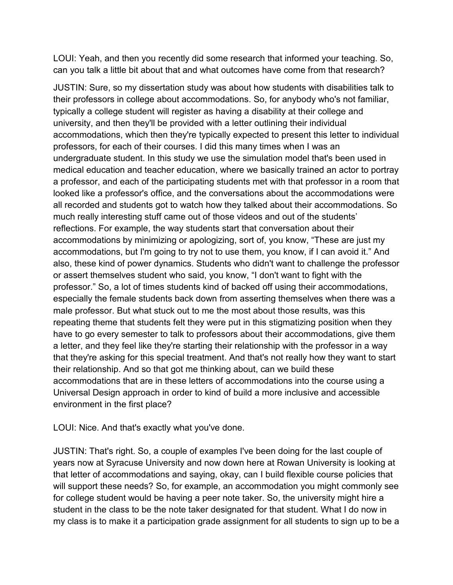LOUI: Yeah, and then you recently did some research that informed your teaching. So, can you talk a little bit about that and what outcomes have come from that research?

JUSTIN: Sure, so my dissertation study was about how students with disabilities talk to their professors in college about accommodations. So, for anybody who's not familiar, typically a college student will register as having a disability at their college and university, and then they'll be provided with a letter outlining their individual accommodations, which then they're typically expected to present this letter to individual professors, for each of their courses. I did this many times when I was an undergraduate student. In this study we use the simulation model that's been used in medical education and teacher education, where we basically trained an actor to portray a professor, and each of the participating students met with that professor in a room that looked like a professor's office, and the conversations about the accommodations were all recorded and students got to watch how they talked about their accommodations. So much really interesting stuff came out of those videos and out of the students' reflections. For example, the way students start that conversation about their accommodations by minimizing or apologizing, sort of, you know, "These are just my accommodations, but I'm going to try not to use them, you know, if I can avoid it." And also, these kind of power dynamics. Students who didn't want to challenge the professor or assert themselves student who said, you know, "I don't want to fight with the professor." So, a lot of times students kind of backed off using their accommodations, especially the female students back down from asserting themselves when there was a male professor. But what stuck out to me the most about those results, was this repeating theme that students felt they were put in this stigmatizing position when they have to go every semester to talk to professors about their accommodations, give them a letter, and they feel like they're starting their relationship with the professor in a way that they're asking for this special treatment. And that's not really how they want to start their relationship. And so that got me thinking about, can we build these accommodations that are in these letters of accommodations into the course using a Universal Design approach in order to kind of build a more inclusive and accessible environment in the first place?

LOUI: Nice. And that's exactly what you've done.

JUSTIN: That's right. So, a couple of examples I've been doing for the last couple of years now at Syracuse University and now down here at Rowan University is looking at that letter of accommodations and saying, okay, can I build flexible course policies that will support these needs? So, for example, an accommodation you might commonly see for college student would be having a peer note taker. So, the university might hire a student in the class to be the note taker designated for that student. What I do now in my class is to make it a participation grade assignment for all students to sign up to be a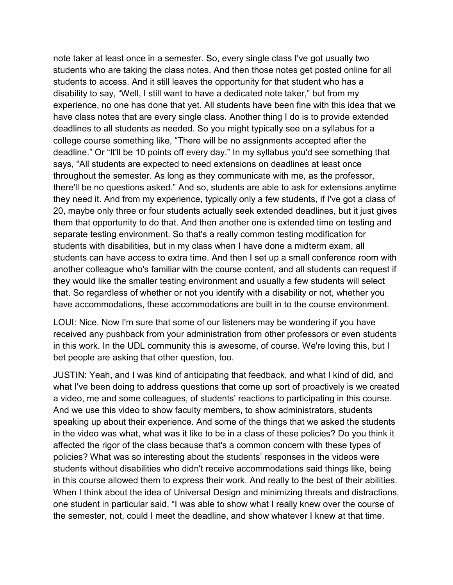note taker at least once in a semester. So, every single class I've got usually two students who are taking the class notes. And then those notes get posted online for all students to access. And it still leaves the opportunity for that student who has a disability to say, "Well, I still want to have a dedicated note taker," but from my experience, no one has done that yet. All students have been fine with this idea that we have class notes that are every single class. Another thing I do is to provide extended deadlines to all students as needed. So you might typically see on a syllabus for a college course something like, "There will be no assignments accepted after the deadline." Or "It'll be 10 points off every day." In my syllabus you'd see something that says, "All students are expected to need extensions on deadlines at least once throughout the semester. As long as they communicate with me, as the professor, there'll be no questions asked." And so, students are able to ask for extensions anytime they need it. And from my experience, typically only a few students, if I've got a class of 20, maybe only three or four students actually seek extended deadlines, but it just gives them that opportunity to do that. And then another one is extended time on testing and separate testing environment. So that's a really common testing modification for students with disabilities, but in my class when I have done a midterm exam, all students can have access to extra time. And then I set up a small conference room with another colleague who's familiar with the course content, and all students can request if they would like the smaller testing environment and usually a few students will select that. So regardless of whether or not you identify with a disability or not, whether you have accommodations, these accommodations are built in to the course environment.

LOUI: Nice. Now I'm sure that some of our listeners may be wondering if you have received any pushback from your administration from other professors or even students in this work. In the UDL community this is awesome, of course. We're loving this, but I bet people are asking that other question, too.

JUSTIN: Yeah, and I was kind of anticipating that feedback, and what I kind of did, and what I've been doing to address questions that come up sort of proactively is we created a video, me and some colleagues, of students' reactions to participating in this course. And we use this video to show faculty members, to show administrators, students speaking up about their experience. And some of the things that we asked the students in the video was what, what was it like to be in a class of these policies? Do you think it affected the rigor of the class because that's a common concern with these types of policies? What was so interesting about the students' responses in the videos were students without disabilities who didn't receive accommodations said things like, being in this course allowed them to express their work. And really to the best of their abilities. When I think about the idea of Universal Design and minimizing threats and distractions, one student in particular said, "I was able to show what I really knew over the course of the semester, not, could I meet the deadline, and show whatever I knew at that time.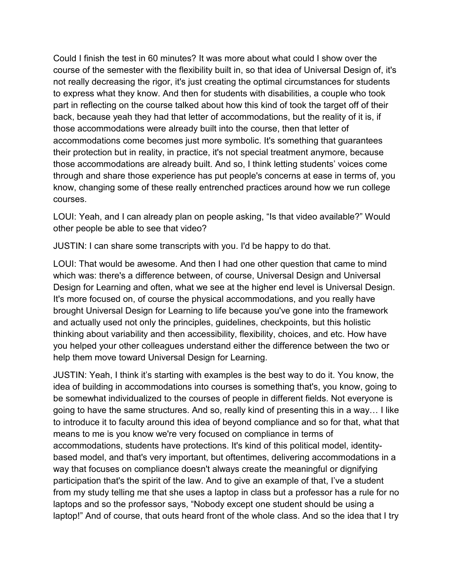Could I finish the test in 60 minutes? It was more about what could I show over the course of the semester with the flexibility built in, so that idea of Universal Design of, it's not really decreasing the rigor, it's just creating the optimal circumstances for students to express what they know. And then for students with disabilities, a couple who took part in reflecting on the course talked about how this kind of took the target off of their back, because yeah they had that letter of accommodations, but the reality of it is, if those accommodations were already built into the course, then that letter of accommodations come becomes just more symbolic. It's something that guarantees their protection but in reality, in practice, it's not special treatment anymore, because those accommodations are already built. And so, I think letting students' voices come through and share those experience has put people's concerns at ease in terms of, you know, changing some of these really entrenched practices around how we run college courses.

LOUI: Yeah, and I can already plan on people asking, "Is that video available?" Would other people be able to see that video?

JUSTIN: I can share some transcripts with you. I'd be happy to do that.

LOUI: That would be awesome. And then I had one other question that came to mind which was: there's a difference between, of course, Universal Design and Universal Design for Learning and often, what we see at the higher end level is Universal Design. It's more focused on, of course the physical accommodations, and you really have brought Universal Design for Learning to life because you've gone into the framework and actually used not only the principles, guidelines, checkpoints, but this holistic thinking about variability and then accessibility, flexibility, choices, and etc. How have you helped your other colleagues understand either the difference between the two or help them move toward Universal Design for Learning.

JUSTIN: Yeah, I think it's starting with examples is the best way to do it. You know, the idea of building in accommodations into courses is something that's, you know, going to be somewhat individualized to the courses of people in different fields. Not everyone is going to have the same structures. And so, really kind of presenting this in a way… I like to introduce it to faculty around this idea of beyond compliance and so for that, what that means to me is you know we're very focused on compliance in terms of accommodations, students have protections. It's kind of this political model, identitybased model, and that's very important, but oftentimes, delivering accommodations in a way that focuses on compliance doesn't always create the meaningful or dignifying participation that's the spirit of the law. And to give an example of that, I've a student from my study telling me that she uses a laptop in class but a professor has a rule for no laptops and so the professor says, "Nobody except one student should be using a laptop!" And of course, that outs heard front of the whole class. And so the idea that I try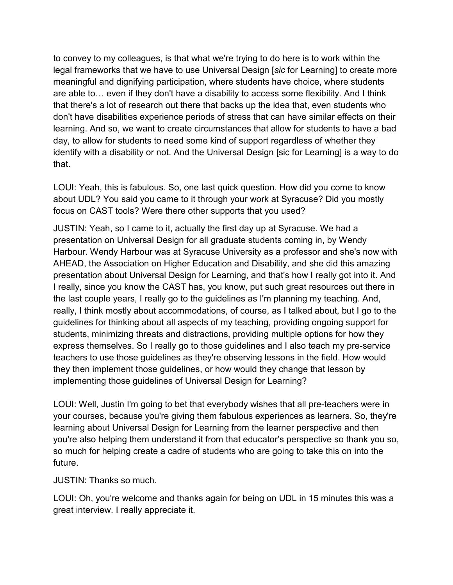to convey to my colleagues, is that what we're trying to do here is to work within the legal frameworks that we have to use Universal Design [*sic* for Learning] to create more meaningful and dignifying participation, where students have choice, where students are able to… even if they don't have a disability to access some flexibility. And I think that there's a lot of research out there that backs up the idea that, even students who don't have disabilities experience periods of stress that can have similar effects on their learning. And so, we want to create circumstances that allow for students to have a bad day, to allow for students to need some kind of support regardless of whether they identify with a disability or not. And the Universal Design [sic for Learning] is a way to do that.

LOUI: Yeah, this is fabulous. So, one last quick question. How did you come to know about UDL? You said you came to it through your work at Syracuse? Did you mostly focus on CAST tools? Were there other supports that you used?

JUSTIN: Yeah, so I came to it, actually the first day up at Syracuse. We had a presentation on Universal Design for all graduate students coming in, by Wendy Harbour. Wendy Harbour was at Syracuse University as a professor and she's now with AHEAD, the Association on Higher Education and Disability, and she did this amazing presentation about Universal Design for Learning, and that's how I really got into it. And I really, since you know the CAST has, you know, put such great resources out there in the last couple years, I really go to the guidelines as I'm planning my teaching. And, really, I think mostly about accommodations, of course, as I talked about, but I go to the guidelines for thinking about all aspects of my teaching, providing ongoing support for students, minimizing threats and distractions, providing multiple options for how they express themselves. So I really go to those guidelines and I also teach my pre-service teachers to use those guidelines as they're observing lessons in the field. How would they then implement those guidelines, or how would they change that lesson by implementing those guidelines of Universal Design for Learning?

LOUI: Well, Justin I'm going to bet that everybody wishes that all pre-teachers were in your courses, because you're giving them fabulous experiences as learners. So, they're learning about Universal Design for Learning from the learner perspective and then you're also helping them understand it from that educator's perspective so thank you so, so much for helping create a cadre of students who are going to take this on into the future.

JUSTIN: Thanks so much.

LOUI: Oh, you're welcome and thanks again for being on UDL in 15 minutes this was a great interview. I really appreciate it.